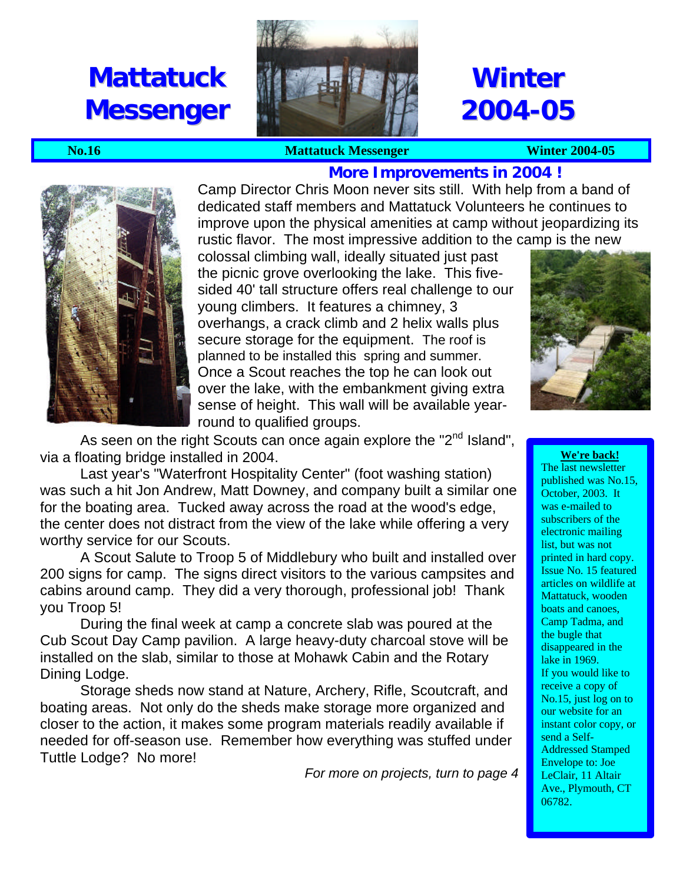# **Mattatuck Messenger**



# **Winter 2004-05**

#### **No.16** Mattatuck Messenger Winter 2004-05



**More Improvements in 2004 !** Camp Director Chris Moon never sits still. With help from a band of dedicated staff members and Mattatuck Volunteers he continues to improve upon the physical amenities at camp without jeopardizing its rustic flavor. The most impressive addition to the camp is the new

colossal climbing wall, ideally situated just past the picnic grove overlooking the lake. This fivesided 40' tall structure offers real challenge to our young climbers. It features a chimney, 3 overhangs, a crack climb and 2 helix walls plus secure storage for the equipment. The roof is planned to be installed this spring and summer. Once a Scout reaches the top he can look out over the lake, with the embankment giving extra sense of height. This wall will be available yearround to qualified groups.



As seen on the right Scouts can once again explore the "2<sup>nd</sup> Island", via a floating bridge installed in 2004.

Last year's "Waterfront Hospitality Center" (foot washing station) was such a hit Jon Andrew, Matt Downey, and company built a similar one for the boating area. Tucked away across the road at the wood's edge, the center does not distract from the view of the lake while offering a very worthy service for our Scouts.

A Scout Salute to Troop 5 of Middlebury who built and installed over 200 signs for camp. The signs direct visitors to the various campsites and cabins around camp. They did a very thorough, professional job! Thank you Troop 5!

During the final week at camp a concrete slab was poured at the Cub Scout Day Camp pavilion. A large heavy-duty charcoal stove will be installed on the slab, similar to those at Mohawk Cabin and the Rotary Dining Lodge.

Storage sheds now stand at Nature, Archery, Rifle, Scoutcraft, and boating areas. Not only do the sheds make storage more organized and closer to the action, it makes some program materials readily available if needed for off-season use. Remember how everything was stuffed under Tuttle Lodge? No more!

*For more on projects, turn to page 4*

**We're back!**

The last newsletter published was No.15, October, 2003. It was e-mailed to subscribers of the electronic mailing list, but was not printed in hard copy. Issue No. 15 featured articles on wildlife at Mattatuck, wooden boats and canoes, Camp Tadma, and the bugle that disappeared in the lake in 1969. If you would like to receive a copy of No.15, just log on to our website for an instant color copy, or send a Self-Addressed Stamped Envelope to: Joe LeClair, 11 Altair Ave., Plymouth, CT 06782.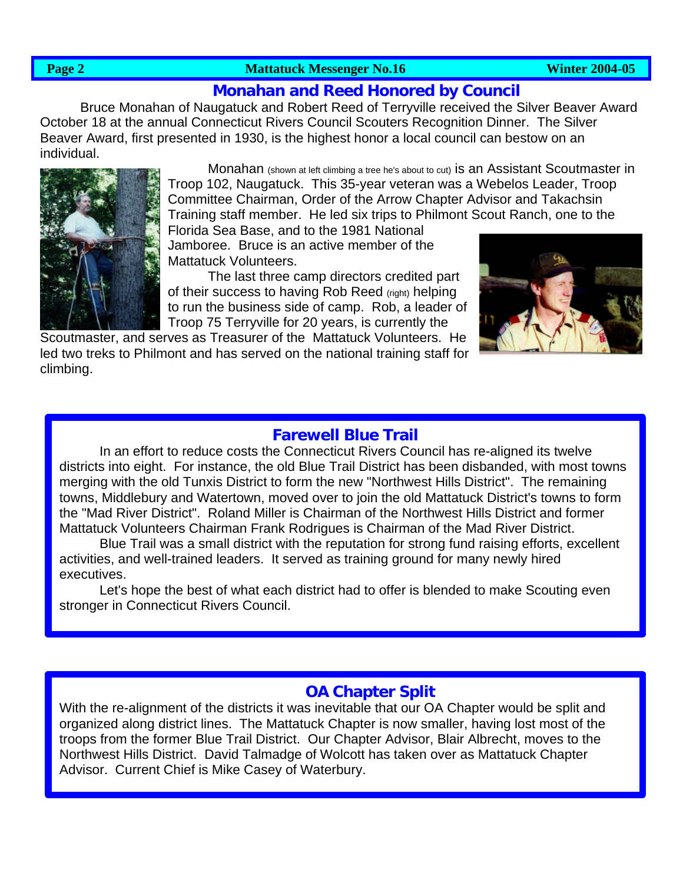#### **Page 2** Mattatuck Messenger No.16 Medicine 2004-05

# **Monahan and Reed Honored by Council**

Bruce Monahan of Naugatuck and Robert Reed of Terryville received the Silver Beaver Award October 18 at the annual Connecticut Rivers Council Scouters Recognition Dinner. The Silver Beaver Award, first presented in 1930, is the highest honor a local council can bestow on an individual.



Monahan (shown at left climbing a tree he's about to cut) is an Assistant Scoutmaster in Troop 102, Naugatuck. This 35-year veteran was a Webelos Leader, Troop Committee Chairman, Order of the Arrow Chapter Advisor and Takachsin Training staff member. He led six trips to Philmont Scout Ranch, one to the

Florida Sea Base, and to the 1981 National Jamboree. Bruce is an active member of the Mattatuck Volunteers.

The last three camp directors credited part of their success to having Rob Reed (right) helping to run the business side of camp. Rob, a leader of Troop 75 Terryville for 20 years, is currently the

Scoutmaster, and serves as Treasurer of the Mattatuck Volunteers. He led two treks to Philmont and has served on the national training staff for climbing.



# **Farewell Blue Trail**

In an effort to reduce costs the Connecticut Rivers Council has re-aligned its twelve districts into eight. For instance, the old Blue Trail District has been disbanded, with most towns merging with the old Tunxis District to form the new "Northwest Hills District". The remaining towns, Middlebury and Watertown, moved over to join the old Mattatuck District's towns to form the "Mad River District". Roland Miller is Chairman of the Northwest Hills District and former Mattatuck Volunteers Chairman Frank Rodrigues is Chairman of the Mad River District.

Blue Trail was a small district with the reputation for strong fund raising efforts, excellent activities, and well-trained leaders. It served as training ground for many newly hired executives.

Let's hope the best of what each district had to offer is blended to make Scouting even stronger in Connecticut Rivers Council.

## **OA Chapter Split**

With the re-alignment of the districts it was inevitable that our OA Chapter would be split and organized along district lines. The Mattatuck Chapter is now smaller, having lost most of the troops from the former Blue Trail District. Our Chapter Advisor, Blair Albrecht, moves to the Northwest Hills District. David Talmadge of Wolcott has taken over as Mattatuck Chapter Advisor. Current Chief is Mike Casey of Waterbury.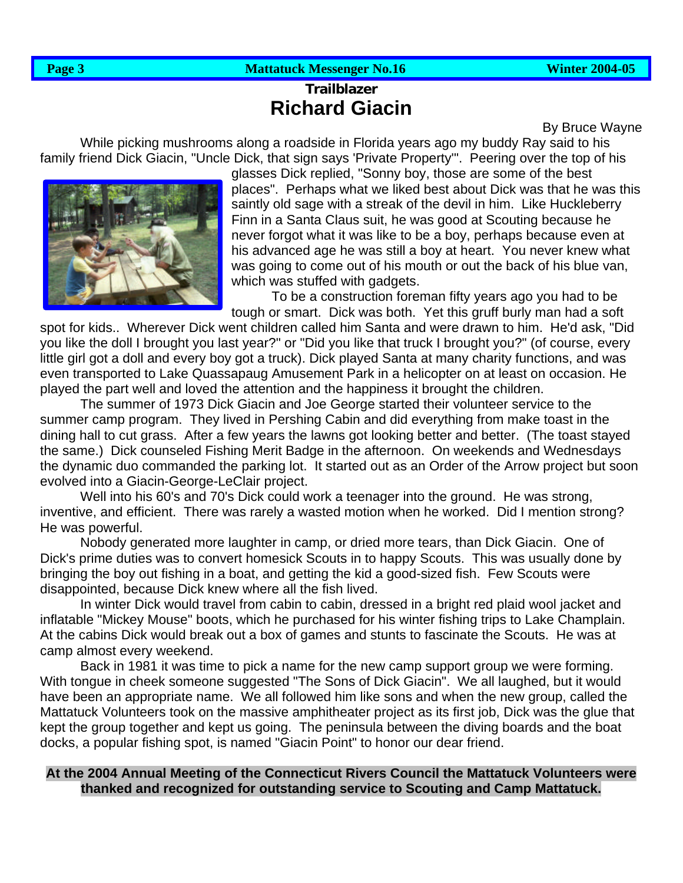### **Page 3** Mattatuck Messenger No.16 Mattatuck Messenger No.16 Winter 2004-05

# **Trailblazer Richard Giacin**

By Bruce Wayne

While picking mushrooms along a roadside in Florida years ago my buddy Ray said to his family friend Dick Giacin, "Uncle Dick, that sign says 'Private Property'". Peering over the top of his



glasses Dick replied, "Sonny boy, those are some of the best places". Perhaps what we liked best about Dick was that he was this saintly old sage with a streak of the devil in him. Like Huckleberry Finn in a Santa Claus suit, he was good at Scouting because he never forgot what it was like to be a boy, perhaps because even at his advanced age he was still a boy at heart. You never knew what was going to come out of his mouth or out the back of his blue van, which was stuffed with gadgets.

To be a construction foreman fifty years ago you had to be tough or smart. Dick was both. Yet this gruff burly man had a soft

spot for kids.. Wherever Dick went children called him Santa and were drawn to him. He'd ask, "Did you like the doll I brought you last year?" or "Did you like that truck I brought you?" (of course, every little girl got a doll and every boy got a truck). Dick played Santa at many charity functions, and was even transported to Lake Quassapaug Amusement Park in a helicopter on at least on occasion. He played the part well and loved the attention and the happiness it brought the children.

The summer of 1973 Dick Giacin and Joe George started their volunteer service to the summer camp program. They lived in Pershing Cabin and did everything from make toast in the dining hall to cut grass. After a few years the lawns got looking better and better. (The toast stayed the same.) Dick counseled Fishing Merit Badge in the afternoon. On weekends and Wednesdays the dynamic duo commanded the parking lot. It started out as an Order of the Arrow project but soon evolved into a Giacin-George-LeClair project.

Well into his 60's and 70's Dick could work a teenager into the ground. He was strong, inventive, and efficient. There was rarely a wasted motion when he worked. Did I mention strong? He was powerful.

Nobody generated more laughter in camp, or dried more tears, than Dick Giacin. One of Dick's prime duties was to convert homesick Scouts in to happy Scouts. This was usually done by bringing the boy out fishing in a boat, and getting the kid a good-sized fish. Few Scouts were disappointed, because Dick knew where all the fish lived.

In winter Dick would travel from cabin to cabin, dressed in a bright red plaid wool jacket and inflatable "Mickey Mouse" boots, which he purchased for his winter fishing trips to Lake Champlain. At the cabins Dick would break out a box of games and stunts to fascinate the Scouts. He was at camp almost every weekend.

Back in 1981 it was time to pick a name for the new camp support group we were forming. With tongue in cheek someone suggested "The Sons of Dick Giacin". We all laughed, but it would have been an appropriate name. We all followed him like sons and when the new group, called the Mattatuck Volunteers took on the massive amphitheater project as its first job, Dick was the glue that kept the group together and kept us going. The peninsula between the diving boards and the boat docks, a popular fishing spot, is named "Giacin Point" to honor our dear friend.

#### **At the 2004 Annual Meeting of the Connecticut Rivers Council the Mattatuck Volunteers were thanked and recognized for outstanding service to Scouting and Camp Mattatuck.**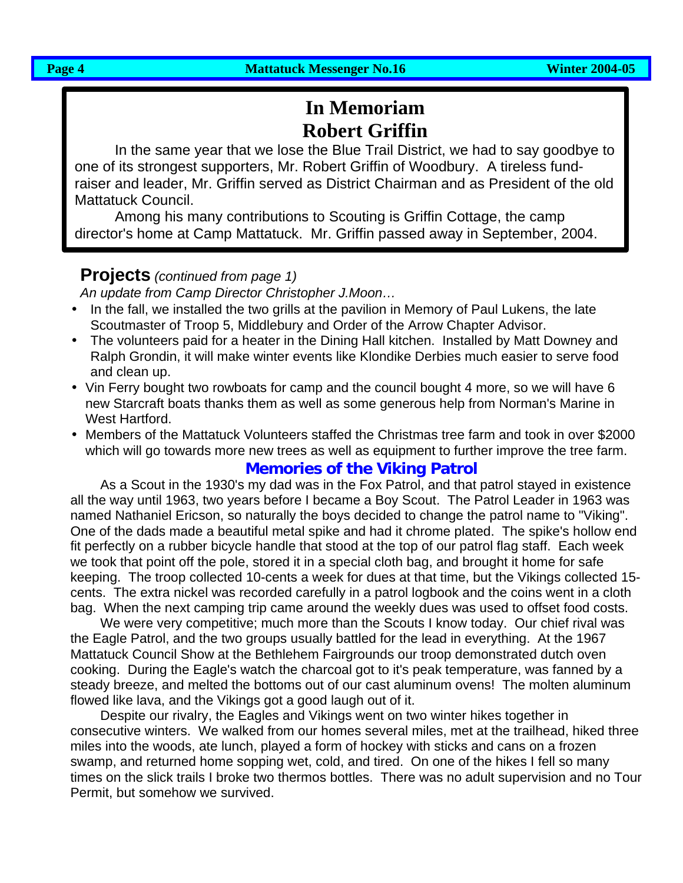# **In Memoriam Robert Griffin**

In the same year that we lose the Blue Trail District, we had to say goodbye to one of its strongest supporters, Mr. Robert Griffin of Woodbury. A tireless fundraiser and leader, Mr. Griffin served as District Chairman and as President of the old Mattatuck Council.

Among his many contributions to Scouting is Griffin Cottage, the camp director's home at Camp Mattatuck. Mr. Griffin passed away in September, 2004.

# **Projects** *(continued from page 1)*

*An update from Camp Director Christopher J.Moon…*

- In the fall, we installed the two grills at the pavilion in Memory of Paul Lukens, the late Scoutmaster of Troop 5, Middlebury and Order of the Arrow Chapter Advisor.
- The volunteers paid for a heater in the Dining Hall kitchen. Installed by Matt Downey and Ralph Grondin, it will make winter events like Klondike Derbies much easier to serve food and clean up.
- Vin Ferry bought two rowboats for camp and the council bought 4 more, so we will have 6 new Starcraft boats thanks them as well as some generous help from Norman's Marine in West Hartford.
- Members of the Mattatuck Volunteers staffed the Christmas tree farm and took in over \$2000 which will go towards more new trees as well as equipment to further improve the tree farm.

# **Memories of the Viking Patrol**

As a Scout in the 1930's my dad was in the Fox Patrol, and that patrol stayed in existence all the way until 1963, two years before I became a Boy Scout. The Patrol Leader in 1963 was named Nathaniel Ericson, so naturally the boys decided to change the patrol name to "Viking". One of the dads made a beautiful metal spike and had it chrome plated. The spike's hollow end fit perfectly on a rubber bicycle handle that stood at the top of our patrol flag staff. Each week we took that point off the pole, stored it in a special cloth bag, and brought it home for safe keeping. The troop collected 10-cents a week for dues at that time, but the Vikings collected 15 cents. The extra nickel was recorded carefully in a patrol logbook and the coins went in a cloth bag. When the next camping trip came around the weekly dues was used to offset food costs.

We were very competitive; much more than the Scouts I know today. Our chief rival was the Eagle Patrol, and the two groups usually battled for the lead in everything. At the 1967 Mattatuck Council Show at the Bethlehem Fairgrounds our troop demonstrated dutch oven cooking. During the Eagle's watch the charcoal got to it's peak temperature, was fanned by a steady breeze, and melted the bottoms out of our cast aluminum ovens! The molten aluminum flowed like lava, and the Vikings got a good laugh out of it.

Despite our rivalry, the Eagles and Vikings went on two winter hikes together in consecutive winters. We walked from our homes several miles, met at the trailhead, hiked three miles into the woods, ate lunch, played a form of hockey with sticks and cans on a frozen swamp, and returned home sopping wet, cold, and tired. On one of the hikes I fell so many times on the slick trails I broke two thermos bottles. There was no adult supervision and no Tour Permit, but somehow we survived.